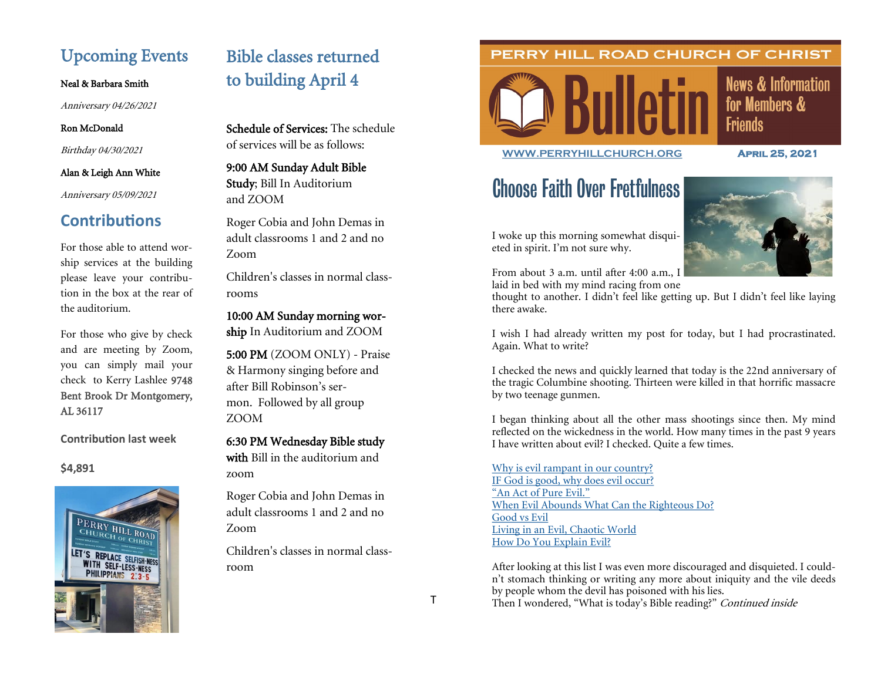# Upcoming Events

#### Neal & Barbara Smith

Anniversary 04/26/2021

## Ron McDonald

Birthday 04/30/2021

## Alan & Leigh Ann White

Anniversary 05/09/2021

## **Contributions**

For those able to attend worship services at the building please leave your contribution in the box at the rear of the auditorium.

For those who give by check and are meeting by Zoom, you can simply mail your check to Kerry Lashlee 9748 Bent Brook Dr Montgomery, AL 36117

**Contribution last week**

## **\$4,891**



# Bible classes returned to building April 4

Schedule of Services: The schedule of services will be as follows:

9:00 AM Sunday Adult Bible Study; Bill In Auditorium and ZOOM

Roger Cobia and John Demas in adult classrooms 1 and 2 and no Zoom

Children's classes in normal classrooms

10:00 AM Sunday morning wor-

ship In Auditorium and ZOOM

5:00 PM (ZOOM ONLY) - Praise & Harmony singing before and after Bill Robinson's sermon. Followed by all group ZOOM

6:30 PM Wednesday Bible study with Bill in the auditorium and zoom

Roger Cobia and John Demas in adult classrooms 1 and 2 and no Zoom

Children's classes in normal classroom

## PERRY HILL ROAD CHURCH OF CHRIST



**News & Information** for Members & **Friends** 

**[WWW.PERRYHILLCHURCH.ORG](http://www.perryhillchurch.org) April 25, 2021** 

# Choose Faith Over Fretfulness



I woke up this morning somewhat disquieted in spirit. I'm not sure why.

From about 3 a.m. until after 4:00 a.m., I

laid in bed with my mind racing from one

thought to another. I didn't feel like getting up. But I didn't feel like laying there awake.

I wish I had already written my post for today, but I had procrastinated. Again. What to write?

I checked the news and quickly learned that today is the 22nd anniversary of the tragic Columbine shooting. Thirteen were killed in that horrific massacre by two teenage gunmen.

I began thinking about all the other mass shootings since then. My mind reflected on the wickedness in the world. How many times in the past 9 years I have written about evil? I checked. Quite a few times.

[Why is evil rampant in our country?](https://thepreachersword.com/2019/08/09/why-is-evil-rampant-in-our-country/) [IF God is good, why does evil occur?](https://thepreachersword.com/2017/10/06/if-god-is-good-why-does-evil-occur/) ["An Act of Pure Evil."](https://thepreachersword.com/2017/10/03/an-act-of-pure-evil/) [When Evil Abounds What Can the Righteous Do?](https://thepreachersword.com/2016/07/09/when-evil-abounds-what-can-the-righteous-do/) [Good vs Evil](https://thepreachersword.com/2015/05/01/its-friday-but-sundays-coming-good-vs-evil/) [Living in an Evil, Chaotic World](https://thepreachersword.com/2014/07/22/living-in-an-evil-chaotic-world/) [How Do You Explain Evil?](https://thepreachersword.com/2012/07/23/how-do-you-explain-evil/)

After looking at this list I was even more discouraged and disquieted. I couldn't stomach thinking or writing any more about iniquity and the vile deeds by people whom the devil has poisoned with his lies. Then I wondered, "What is today's Bible reading?" Continued inside